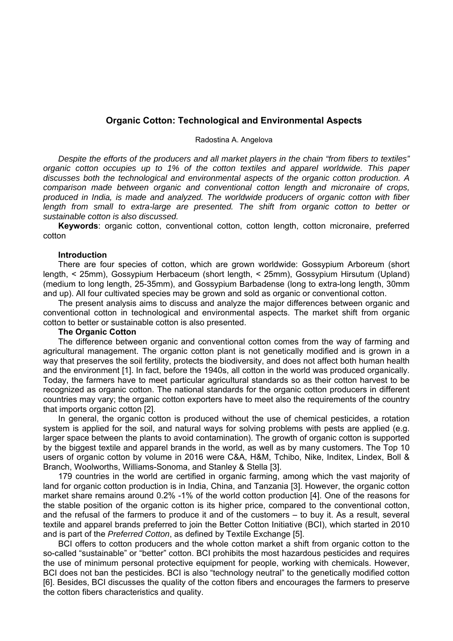### **Organic Cotton: Technological and Environmental Aspects**

#### Radostina A. Angelova

*Despite the efforts of the producers and all market players in the chain "from fibers to textiles" organic cotton occupies up to 1% of the cotton textiles and apparel worldwide. This paper discusses both the technological and environmental aspects of the organic cotton production. A comparison made between organic and conventional cotton length and micronaire of crops, produced in India, is made and analyzed. The worldwide producers of organic cotton with fiber length from small to extra-large are presented. The shift from organic cotton to better or sustainable cotton is also discussed.*

**Keywords**: organic cotton, conventional cotton, cotton length, cotton micronaire, preferred cotton

#### **Introduction**

There are four species of cotton, which are grown worldwide: Gossypium Arboreum (short length, < 25mm), Gossypium Herbaceum (short length, < 25mm), Gossypium Hirsutum (Upland) (medium to long length, 25-35mm), and Gossypium Barbadense (long to extra-long length, 30mm and up). All four cultivated species may be grown and sold as organic or conventional cotton.

The present analysis aims to discuss and analyze the major differences between organic and conventional cotton in technological and environmental aspects. The market shift from organic cotton to better or sustainable cotton is also presented.

### **The Organic Cotton**

The difference between organic and conventional cotton comes from the way of farming and agricultural management. The organic cotton plant is not genetically modified and is grown in a way that preserves the soil fertility, protects the biodiversity, and does not affect both human health and the environment [1]. In fact, before the 1940s, all cotton in the world was produced organically. Today, the farmers have to meet particular agricultural standards so as their cotton harvest to be recognized as organic cotton. The national standards for the organic cotton producers in different countries may vary; the organic cotton exporters have to meet also the requirements of the country that imports organic cotton [2].

In general, the organic cotton is produced without the use of chemical pesticides, a rotation system is applied for the soil, and natural ways for solving problems with pests are applied (e.g. larger space between the plants to avoid contamination). The growth of organic cotton is supported by the biggest textile and apparel brands in the world, as well as by many customers. The Top 10 users of organic cotton by volume in 2016 were C&A, H&M, Tchibo, Nike, Inditex, Lindex, Boll & Branch, Woolworths, Williams-Sonoma, and Stanley & Stella [3].

179 countries in the world are certified in organic farming, among which the vast majority of land for organic cotton production is in India, China, and Tanzania [3]. However, the organic cotton market share remains around 0.2% -1% of the world cotton production [4]. One of the reasons for the stable position of the organic cotton is its higher price, compared to the conventional cotton, and the refusal of the farmers to produce it and of the customers – to buy it. As a result, several textile and apparel brands preferred to join the Better Cotton Initiative (BCI), which started in 2010 and is part of the *Preferred Cotton*, as defined by Textile Exchange [5].

BCI offers to cotton producers and the whole cotton market a shift from organic cotton to the so-called "sustainable" or "better" cotton. BCI prohibits the most hazardous pesticides and requires the use of minimum personal protective equipment for people, working with chemicals. However, BCI does not ban the pesticides. BCI is also "technology neutral" to the genetically modified cotton [6]. Besides, BCI discusses the quality of the cotton fibers and encourages the farmers to preserve the cotton fibers characteristics and quality.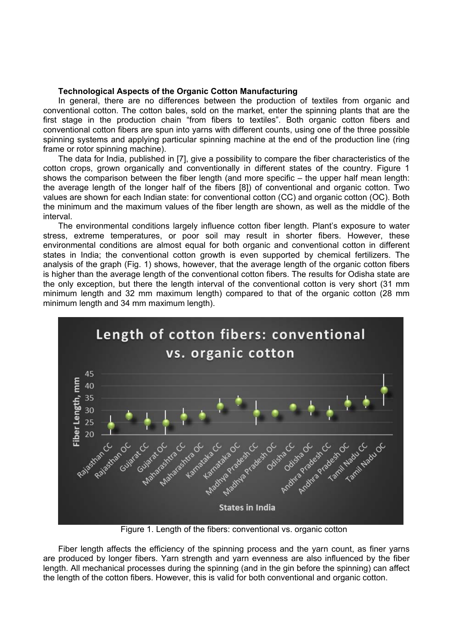### **Technological Aspects of the Organic Cotton Manufacturing**

In general, there are no differences between the production of textiles from organic and conventional cotton. The cotton bales, sold on the market, enter the spinning plants that are the first stage in the production chain "from fibers to textiles". Both organic cotton fibers and conventional cotton fibers are spun into yarns with different counts, using one of the three possible spinning systems and applying particular spinning machine at the end of the production line (ring frame or rotor spinning machine).

The data for India, published in [7], give a possibility to compare the fiber characteristics of the cotton crops, grown organically and conventionally in different states of the country. Figure 1 shows the comparison between the fiber length (and more specific – the upper half mean length: the average length of the longer half of the fibers [8]) of conventional and organic cotton. Two values are shown for each Indian state: for conventional cotton (CC) and organic cotton (OC). Both the minimum and the maximum values of the fiber length are shown, as well as the middle of the interval.

The environmental conditions largely influence cotton fiber length. Plant's exposure to water stress, extreme temperatures, or poor soil may result in shorter fibers. However, these environmental conditions are almost equal for both organic and conventional cotton in different states in India; the conventional cotton growth is even supported by chemical fertilizers. The analysis of the graph (Fig. 1) shows, however, that the average length of the organic cotton fibers is higher than the average length of the conventional cotton fibers. The results for Odisha state are the only exception, but there the length interval of the conventional cotton is very short (31 mm minimum length and 32 mm maximum length) compared to that of the organic cotton (28 mm minimum length and 34 mm maximum length).



Figure 1. Length of the fibers: conventional vs. organic cotton

Fiber length affects the efficiency of the spinning process and the yarn count, as finer yarns are produced by longer fibers. Yarn strength and yarn evenness are also influenced by the fiber length. All mechanical processes during the spinning (and in the gin before the spinning) can affect the length of the cotton fibers. However, this is valid for both conventional and organic cotton.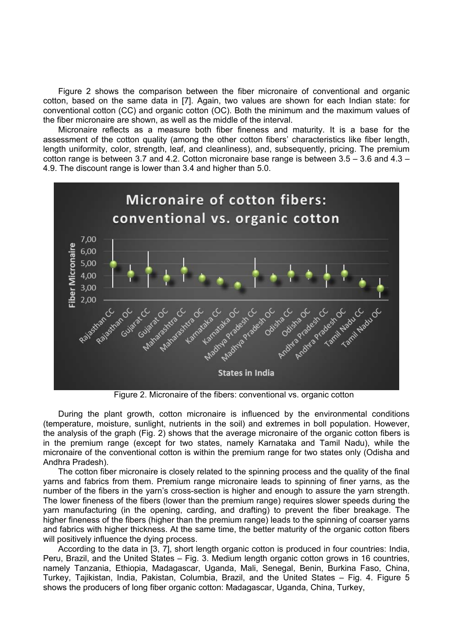Figure 2 shows the comparison between the fiber micronaire of conventional and organic cotton, based on the same data in [7]. Again, two values are shown for each Indian state: for conventional cotton (CC) and organic cotton (OC). Both the minimum and the maximum values of the fiber micronaire are shown, as well as the middle of the interval.

Micronaire reflects as a measure both fiber fineness and maturity. It is a base for the assessment of the cotton quality (among the other cotton fibers' characteristics like fiber length, length uniformity, color, strength, leaf, and cleanliness), and, subsequently, pricing. The premium cotton range is between 3.7 and 4.2. Cotton micronaire base range is between 3.5 – 3.6 and 4.3 – 4.9. The discount range is lower than 3.4 and higher than 5.0.



Figure 2. Micronaire of the fibers: conventional vs. organic cotton

During the plant growth, cotton micronaire is influenced by the environmental conditions (temperature, moisture, sunlight, nutrients in the soil) and extremes in boll population. However, the analysis of the graph (Fig. 2) shows that the average micronaire of the organic cotton fibers is in the premium range (except for two states, namely Karnataka and Tamil Nadu), while the micronaire of the conventional cotton is within the premium range for two states only (Odisha and Andhra Pradesh).

The cotton fiber micronaire is closely related to the spinning process and the quality of the final yarns and fabrics from them. Premium range micronaire leads to spinning of finer yarns, as the number of the fibers in the yarn's cross-section is higher and enough to assure the yarn strength. The lower fineness of the fibers (lower than the premium range) requires slower speeds during the yarn manufacturing (in the opening, carding, and drafting) to prevent the fiber breakage. The higher fineness of the fibers (higher than the premium range) leads to the spinning of coarser yarns and fabrics with higher thickness. At the same time, the better maturity of the organic cotton fibers will positively influence the dying process.

According to the data in [3, 7], short length organic cotton is produced in four countries: India, Peru, Brazil, and the United States – Fig. 3. Medium length organic cotton grows in 16 countries, namely Tanzania, Ethiopia, Madagascar, Uganda, Mali, Senegal, Benin, Burkina Faso, China, Turkey, Tajikistan, India, Pakistan, Columbia, Brazil, and the United States – Fig. 4. Figure 5 shows the producers of long fiber organic cotton: Madagascar, Uganda, China, Turkey,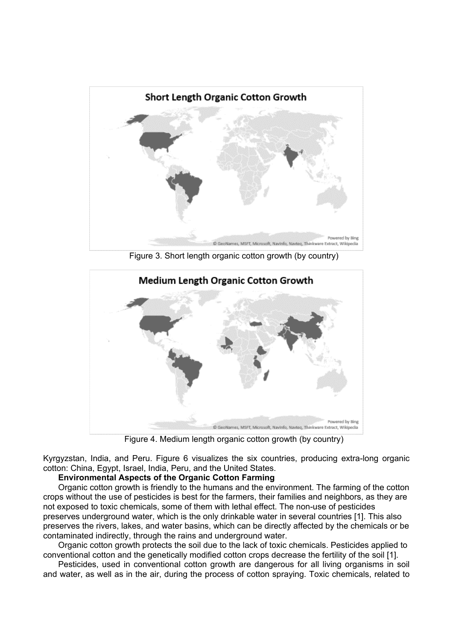

Figure 3. Short length organic cotton growth (by country)



Figure 4. Medium length organic cotton growth (by country)

Kyrgyzstan, India, and Peru. Figure 6 visualizes the six countries, producing extra-long organic cotton: China, Egypt, Israel, India, Peru, and the United States.

# **Environmental Aspects of the Organic Cotton Farming**

Organic cotton growth is friendly to the humans and the environment. The farming of the cotton crops without the use of pesticides is best for the farmers, their families and neighbors, as they are not exposed to toxic chemicals, some of them with lethal effect. The non-use of pesticides preserves underground water, which is the only drinkable water in several countries [1]. This also preserves the rivers, lakes, and water basins, which can be directly affected by the chemicals or be contaminated indirectly, through the rains and underground water.

Organic cotton growth protects the soil due to the lack of toxic chemicals. Pesticides applied to conventional cotton and the genetically modified cotton crops decrease the fertility of the soil [1].

Pesticides, used in conventional cotton growth are dangerous for all living organisms in soil and water, as well as in the air, during the process of cotton spraying. Toxic chemicals, related to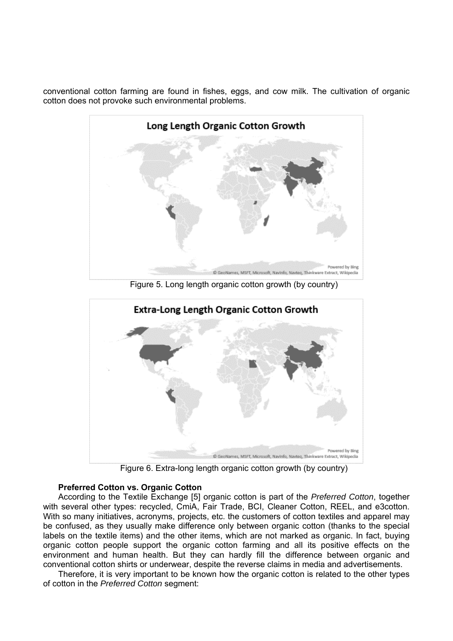conventional cotton farming are found in fishes, eggs, and cow milk. The cultivation of organic cotton does not provoke such environmental problems.



Figure 5. Long length organic cotton growth (by country)



Figure 6. Extra-long length organic cotton growth (by country)

# **Preferred Cotton vs. Organic Cotton**

According to the Textile Exchange [5] organic cotton is part of the *Preferred Cotton*, together with several other types: recycled, CmiA, Fair Trade, BCI, Cleaner Cotton, REEL, and e3cotton. With so many initiatives, acronyms, projects, etc. the customers of cotton textiles and apparel may be confused, as they usually make difference only between organic cotton (thanks to the special labels on the textile items) and the other items, which are not marked as organic. In fact, buying organic cotton people support the organic cotton farming and all its positive effects on the environment and human health. But they can hardly fill the difference between organic and conventional cotton shirts or underwear, despite the reverse claims in media and advertisements.

Therefore, it is very important to be known how the organic cotton is related to the other types of cotton in the *Preferred Cotton* segment: